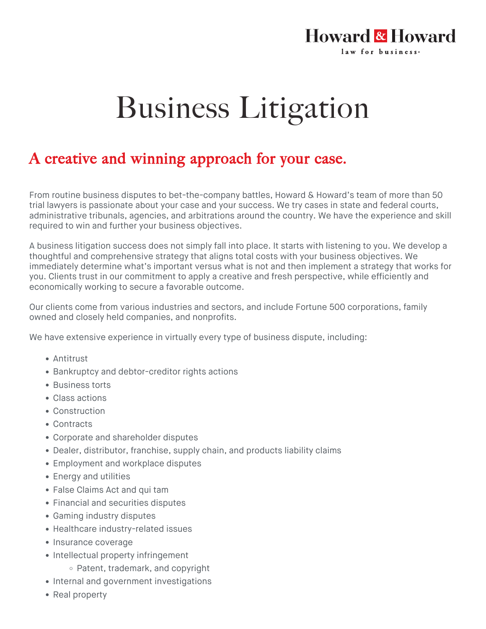## **Howard & Howard** law for business.

## Business Litigation

## A creative and winning approach for your case.

From routine business disputes to bet-the-company battles, Howard & Howard's team of more than 50 trial lawyers is passionate about your case and your success. We try cases in state and federal courts, administrative tribunals, agencies, and arbitrations around the country. We have the experience and skill required to win and further your business objectives.

A business litigation success does not simply fall into place. It starts with listening to you. We develop a thoughtful and comprehensive strategy that aligns total costs with your business objectives. We immediately determine what's important versus what is not and then implement a strategy that works for you. Clients trust in our commitment to apply a creative and fresh perspective, while efficiently and economically working to secure a favorable outcome.

Our clients come from various industries and sectors, and include Fortune 500 corporations, family owned and closely held companies, and nonprofits.

We have extensive experience in virtually every type of business dispute, including:

- Antitrust
- Bankruptcy and debtor-creditor rights actions
- Business torts
- Class actions
- Construction
- Contracts
- Corporate and shareholder disputes
- Dealer, distributor, franchise, supply chain, and products liability claims
- Employment and workplace disputes
- Energy and utilities
- False Claims Act and qui tam
- Financial and securities disputes
- Gaming industry disputes
- Healthcare industry-related issues
- Insurance coverage
- Intellectual property infringement
	- Patent, trademark, and copyright
- Internal and government investigations
- Real property